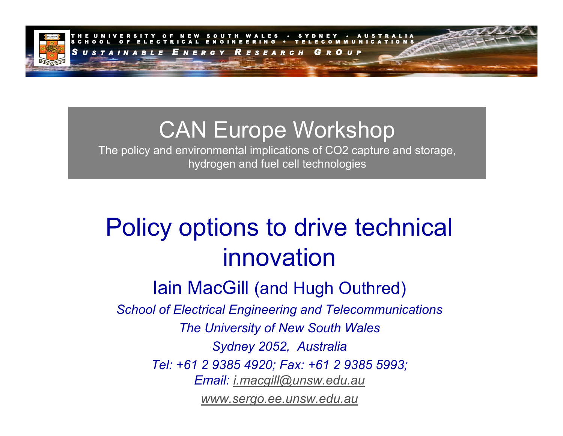

## CAN Europe Workshop

The policy and environmental implications of CO2 capture and storage, hydrogen and fuel cell technologies

# Policy options to drive technical innovation

Iain MacGill (and Hugh Outhred)

*School of Electrical Engineering and Telecommunications The University of New South Wales Sydney 2052, Australia Tel: +61 2 9385 4920; Fax: +61 2 9385 5993; Email: [i.macgill@unsw.edu.au](mailto:i.macgill@unsw.edu.au) [www.sergo.ee.unsw.edu.au](http://www.sergo.ee.unsw.edu.au/)*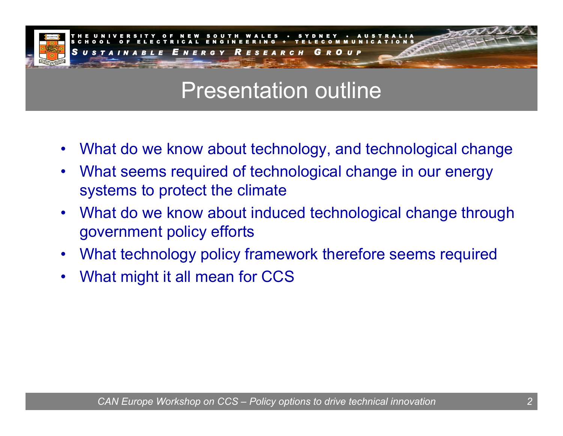

## Presentation outline

- •What do we know about technology, and technological change
- •What seems required of technological change in our energy systems to protect the climate
- •What do we know about induced technological change through government policy efforts
- •What technology policy framework therefore seems required
- •What might it all mean for CCS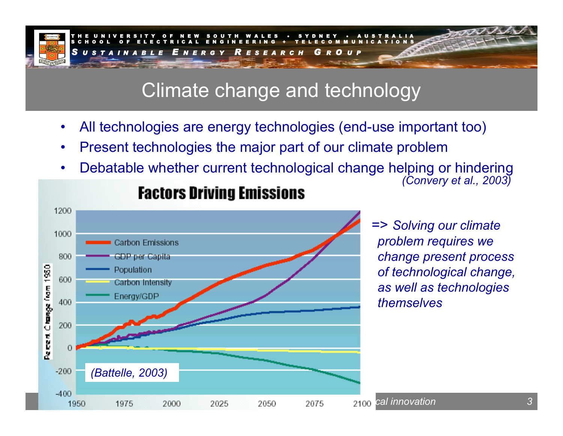

### Climate change and technology

- •All technologies are energy technologies (end-use important too)
- •Present technologies the major part of our climate problem
- •Debatable whether current technological change helping or hindering *(Convery et al., 2003)*



### **Factors Driving Emissions**

=> *Solving our climate problem requires we change present process of technological change, as well as technologies themselves*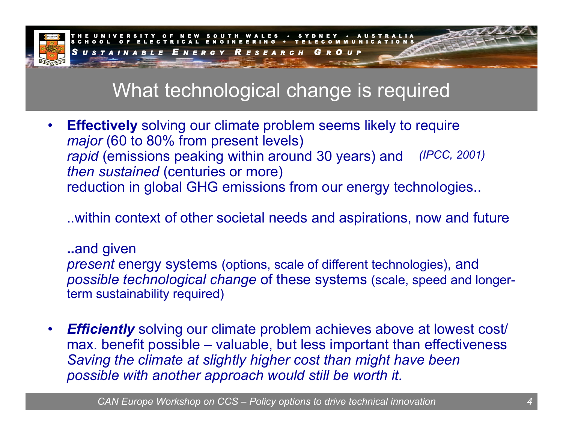

### What technological change is required

• **Effectively** solving our climate problem seems likely to require *major* (60 to 80% from present levels) *rapid* (emissions peaking within around 30 years) and *then sustained* (centuries or more) reduction in global GHG emissions from our energy technologies.. *(IP CC, 20 0 1 )*

..within context of other societal needs and aspirations, now and future

**..**and given

*present* energy systems (options, scale of different technologies), and *possible technological change* of these systems (scale, speed and longerterm sustainability required)

•*Efficiently* solving our climate problem achieves above at lowest cost/ max. benefit possible – valuable, but less important than effectiveness *Saving the climate at slightly higher cost than might have been possible with another approach would still be worth it.*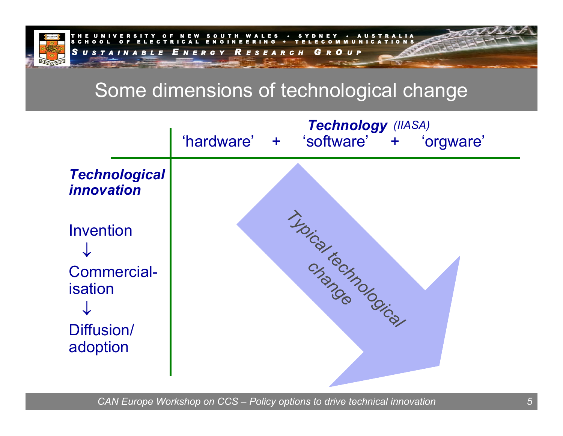

### Some dimensions of technological change

|                                                                             | Technology (IIASA)<br>'hardware' +<br>'software' + 'orgware' |
|-----------------------------------------------------------------------------|--------------------------------------------------------------|
| <b>Technological</b><br><i><b>innovation</b></i>                            |                                                              |
| <b>Invention</b><br><b>Commercial-</b><br>isation<br>Diffusion/<br>adoption | THOIS ON TOUT ON CALL                                        |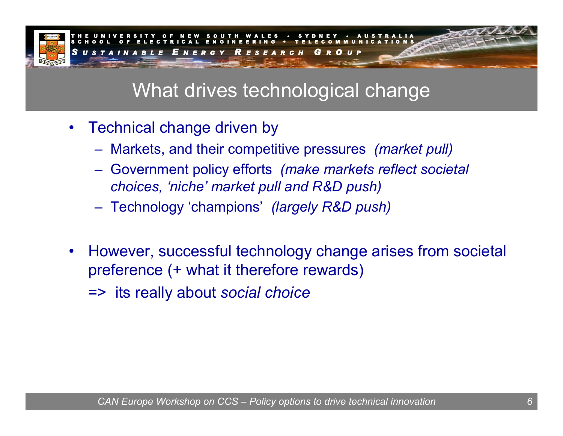

## What drives technological change

- Technical change driven by
	- Markets, and their competitive pressures *(market pull)*
	- Government policy efforts *(make markets reflect societal choices, 'niche' market pull and R&D push)*
	- Technology 'champions' *(largely R&D push)*
- $\bullet$ However, successful technology change arises from societal preference (+ what it therefore rewards)

=> its really about *social choice*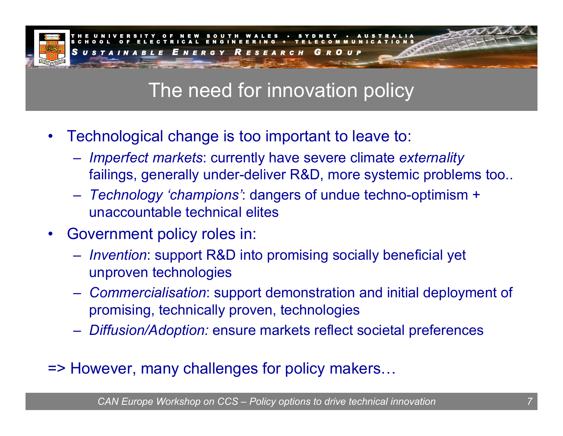

## The need for innovation policy

- •Technological change is too important to leave to:
	- *Imperfect markets*: currently have severe climate *externality* failings, generally under-deliver R&D, more systemic problems too..
	- *Technology 'champions'*: dangers of undue techno-optimism + unaccountable technical elites
- •Government policy roles in:
	- *Invention*: support R&D into promising socially beneficial yet unproven technologies
	- *Commercialisation*: support demonstration and initial deployment of promising, technically proven, technologies
	- *Diffusion/Adoption:* ensure markets reflect societal preferences
- => However, many challenges for policy makers…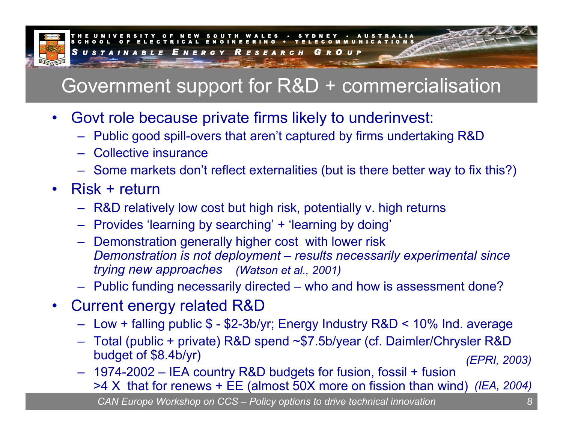

## Government support for R&D + commercialisation

- •Govt role because private firms likely to underinvest:
	- Public good spill-overs that aren't captured by firms undertaking R&D
	- –Collective insurance
	- Some markets don't reflect externalities (but is there better way to fix this?)
- •Risk + return
	- R&D relatively low cost but high risk, potentially v. high returns
	- Provides 'learning by searching' + 'learning by doing'
	- Demonstration generally higher cost with lower risk *Demonstration is not deployment – results necessarily experimental since trying new approaches (Watson et al., 2001)*
	- Public funding necessarily directed who and how is assessment done?
- •Current energy related R&D
	- Low + falling public \$ \$2-3b/yr; Energy Industry R&D < 10% Ind. average
	- Total (public + private) R&D spend ~\$7.5b/year (cf. Daimler/Chrysler R&D budget of \$8.4b/yr) *(EPRI, 2003)*
	- 1974-2002 IEA country R&D budgets for fusion, fossil + fusion >4 X that for renews + EE (almost 50X more on fission than wind) *(IEA, 2004)*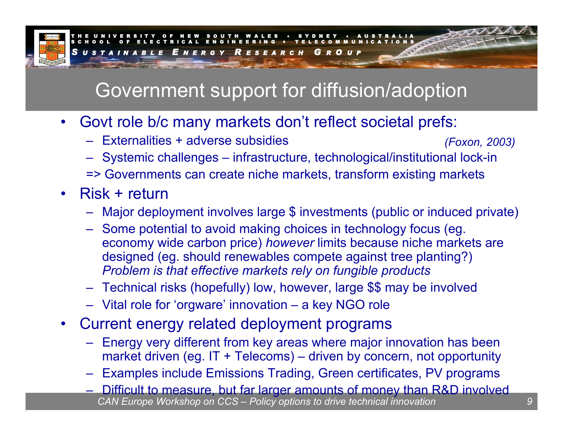

## Government support for diffusion/adoption

- •Govt role b/c many markets don't reflect societal prefs:
	- –Externalities + adverse subsidies*(Foxon, 2003)*
	- Systemic challenges infrastructure, technological/institutional lock-in
	- => Governments can create niche markets, transform existing markets
- •Risk + return
	- Major deployment involves large \$ investments (public or induced private)
	- Some potential to avoid making choices in technology focus (eg. economy wide carbon price) *however* limits because niche markets are designed (eg. should renewables compete against tree planting?) *Problem is that effective markets rely on fungible products*
	- Technical risks (hopefully) low, however, large \$\$ may be involved
	- Vital role for 'orgware' innovation a key NGO role
- •Current energy related deployment programs
	- Energy very different from key areas where major innovation has been market driven (eg. IT + Telecoms) – driven by concern, not opportunity
	- Examples include Emissions Trading, Green certificates, PV programs
	- *CAN Europe Workshop on CCS – Policy options to drive technical innovation* –Difficult to measure, but far larger amounts of money than R&D involved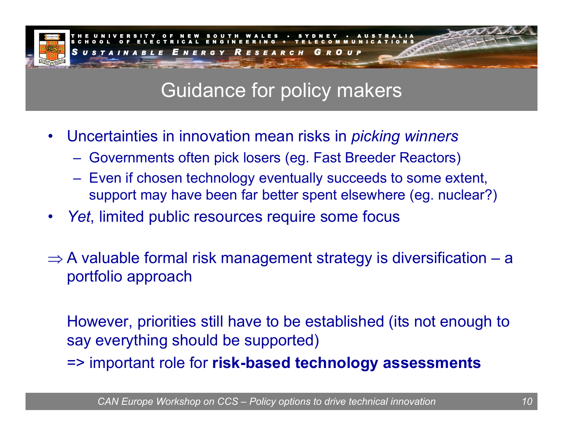

### Guidance for policy makers

- •Uncertainties in innovation mean risks in *picking winners*
	- Governments often pick losers (eg. Fast Breeder Reactors)
	- Even if chosen technology eventually succeeds to some extent, support may have been far better spent elsewhere (eg. nuclear?)
- •*Yet*, limited public resources require some focus
- $\Rightarrow$  A valuable formal risk management strategy is diversification a portfolio approach

However, priorities still have to be established (its not enough to say everything should be supported)

=> important role for **risk-based technology assessments**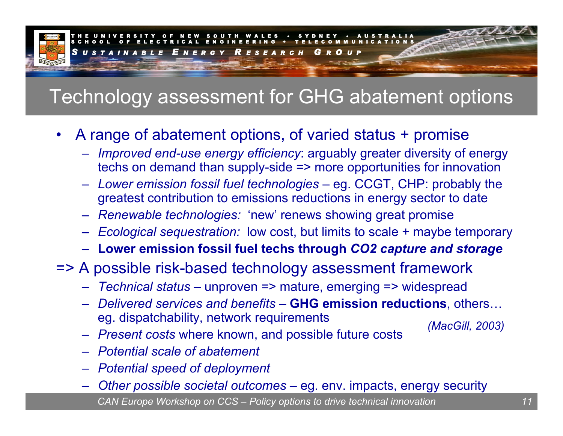

### Technology assessment for GHG abatement options

- •A range of abatement options, of varied status + promise
	- *Improved end-use energy efficiency*: arguably greater diversity of energy techs on demand than supply-side => more opportunities for innovation
	- *Lower emission fossil fuel technologies* eg. CCGT, CHP: probably the greatest contribution to emissions reductions in energy sector to date
	- *Renewable technologies:* 'new' renews showing great promise
	- *Ecological sequestration:* low cost, but limits to scale + maybe temporary
	- **Lower emission fossil fuel techs through** *CO2 capture and storage*
- => A possible risk-based technology assessment framework
	- *Technical status* unproven => mature, emerging => widespread
	- *Delivered services and benefits* **GHG emission reductions**, others… eg. dispatchability, network requirements
	- *Present costs* where known, and possible future costs
- *(MacGill, 2003)*
- *Potential scale of abatement*
- *Potential speed of deployment*
- *CAN Europe Workshop on CCS – Policy options to drive technical innovation 11* –— *Other possible societal outcomes* — eg. env. impacts, energy security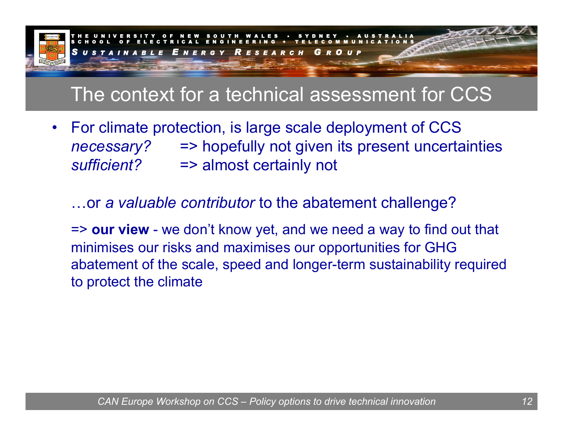

### The context for a technical assessment for CCS

•For climate protection, is large scale deployment of CCS *necessary?* => hopefully not given its present uncertainties *sufficient?*=> almost certainly not

…or *a valuable contributor* to the abatement challenge?

=> our view - we don't know yet, and we need a way to find out that minimises our risks and maximises our opportunities for GHG abatement of the scale, speed and longer-term sustainability required to protect the climate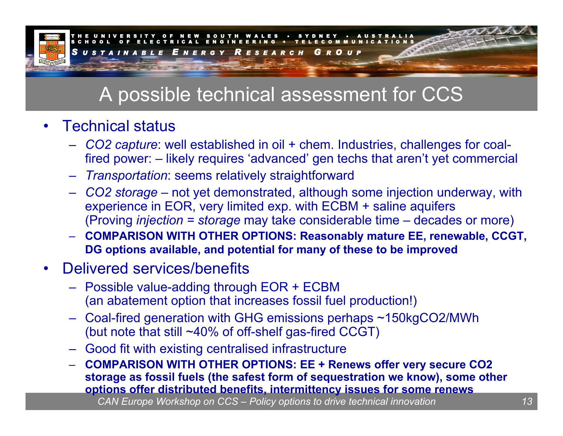

### A possible technical assessment for CCS

### •Technical status

- – *CO2 capture*: well established in oil + chem. Industries, challenges for coalfired power: – likely requires 'advanced' gen techs that aren't yet commercial
- *Transportation*: seems relatively straightforward
- $-$  CO2 s*torage* not yet demonstrated, although some injection underway, with experience in EOR, very limited exp. with ECBM + saline aquifers (Proving *injection = storage* may take considerable time – decades or more)
- $-$  COMPARISON WITH OTHER OPTIONS: Reasonably mature EE, renewable, CCGT, **DG options available, and potential for many of these to be improved**

### •Delivered services/benefits

- Possible value-adding through EOR + ECBM (an abatement option that increases fossil fuel production!)
- Coal-fired generation with GHG emissions perhaps ~150kgCO2/MWh (but note that still ~40% of off-shelf gas-fired CCGT)
- Good fit with existing centralised infrastructure
- $-$  COMPARISON WITH OTHER OPTIONS: EE + Renews offer very secure CO2 **storage as fossil fuels ( the safest form of sequestration we know), some other options offer distributed benefits, inter mittency issues for some renews**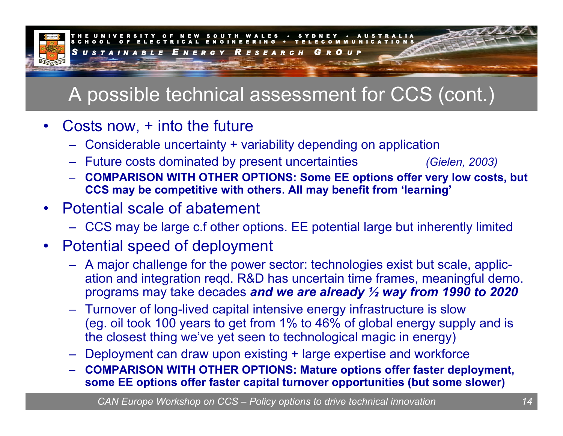

## A possible technical assessment for CCS (cont.)

### •Costs now, + into the future

- –Considerable uncertainty + variability depending on application
- Future costs dominated by present uncertainties *(Gielen, 2003)*
- $-$  COMPARISON WITH OTHER OPTIONS: Some EE options offer very low costs, but **CCS may be competitive with others. All may benefit from 'learning'**
- Potential scale of abatement
	- CCS may be large c.f other options. EE potential large but inherently limited

### •Potential speed of deployment

- A major challenge for the power sector: technologies exist but scale, application and integration reqd. R&D has uncertain time frames, meaningful demo. programs may take decades *and we are already ½ way from 1990 to 2020*
- Turnover of long-lived capital intensive energy infrastructure is slow (eg. oil took 100 years to get from 1% to 46% of global energy supply and is the closest thing we've yet seen to technological magic in energy)
- Deployment can draw upon existing + large expertise and workforce
- COMPARISON WITH OTHER OPTIONS: Mature options offer faster deployment, **some EE options offer faster capital turnover opportunities (but some slower)**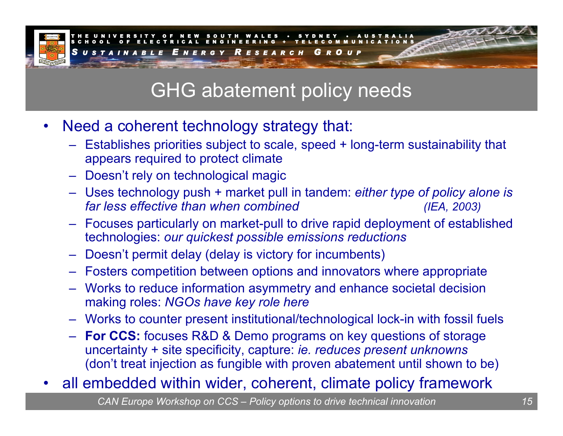

### GHG abatement policy needs

- •Need a coherent technology strategy that:
	- Establishes priorities subject to scale, speed + long-term sustainability that appears required to protect climate
	- Doesn't rely on technological magic
	- Uses technology push + market pull in tandem: *either type of policy alone is far less effective than when combined (IEA, 2003)*
	- Focuses particularly on market-pull to drive rapid deployment of established technologies: *our quickest possible emissions reductions*
	- Doesn't permit delay (delay is victory for incumbents)
	- Fosters competition between options and innovators where appropriate
	- Works to reduce information asymmetry and enhance societal decision making roles: *NGOs have key role here*
	- Works to counter present institutional/technological lock-in with fossil fuels
	- **For CCS:** focuses R&D & Demo programs on key questions of storage uncertainty + site specificity, capture: *ie. reduces present unknowns* (don't treat injection as fungible with proven abatement until shown to be)
- •all embedded within wider, coherent, climate policy framework